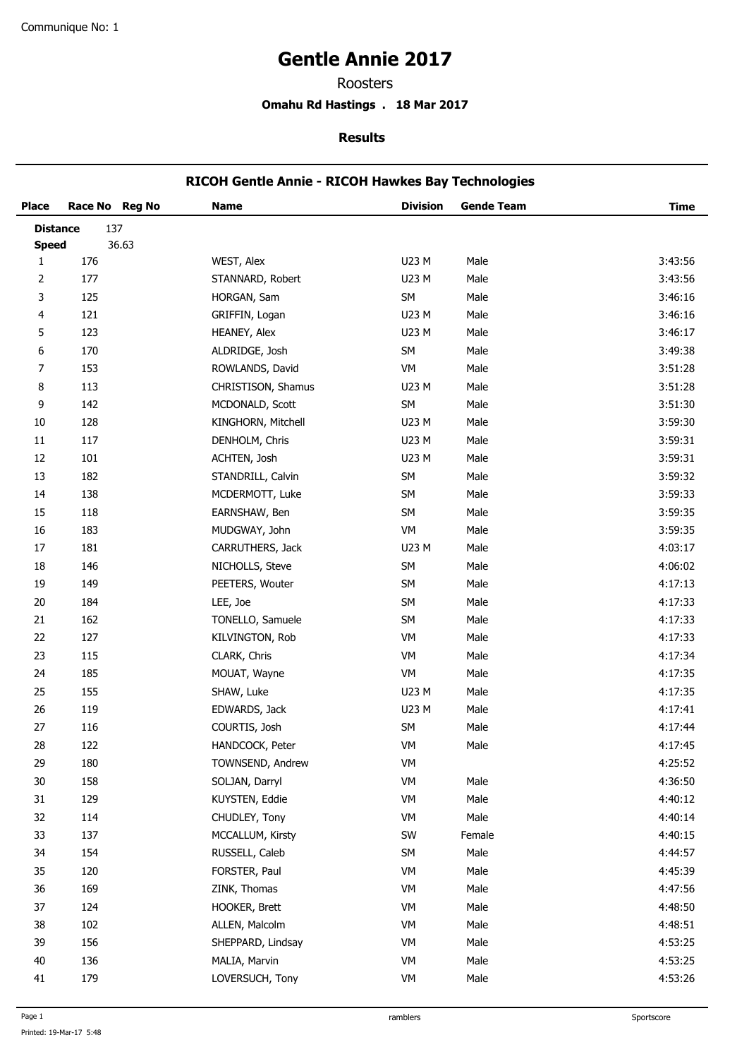# **Gentle Annie 2017**

Roosters

**Omahu Rd Hastings . 18 Mar 2017**

#### **Results**

# **RICOH Gentle Annie - RICOH Hawkes Bay Technologies**

| <b>Place</b>    |     | Race No Reg No | <b>Name</b>        | <b>Division</b> | <b>Gende Team</b> | <b>Time</b> |
|-----------------|-----|----------------|--------------------|-----------------|-------------------|-------------|
| <b>Distance</b> |     | 137            |                    |                 |                   |             |
| <b>Speed</b>    |     | 36.63          |                    |                 |                   |             |
| $\mathbf{1}$    | 176 |                | WEST, Alex         | U23 M           | Male              | 3:43:56     |
| 2               | 177 |                | STANNARD, Robert   | U23 M           | Male              | 3:43:56     |
| 3               | 125 |                | HORGAN, Sam        | SM              | Male              | 3:46:16     |
| 4               | 121 |                | GRIFFIN, Logan     | U23 M           | Male              | 3:46:16     |
| 5               | 123 |                | HEANEY, Alex       | U23 M           | Male              | 3:46:17     |
| 6               | 170 |                | ALDRIDGE, Josh     | SM              | Male              | 3:49:38     |
| 7               | 153 |                | ROWLANDS, David    | VM              | Male              | 3:51:28     |
| 8               | 113 |                | CHRISTISON, Shamus | U23 M           | Male              | 3:51:28     |
| 9               | 142 |                | MCDONALD, Scott    | SM              | Male              | 3:51:30     |
| 10              | 128 |                | KINGHORN, Mitchell | U23 M           | Male              | 3:59:30     |
| 11              | 117 |                | DENHOLM, Chris     | U23 M           | Male              | 3:59:31     |
| 12              | 101 |                | ACHTEN, Josh       | U23 M           | Male              | 3:59:31     |
| 13              | 182 |                | STANDRILL, Calvin  | SM              | Male              | 3:59:32     |
| 14              | 138 |                | MCDERMOTT, Luke    | SM              | Male              | 3:59:33     |
| 15              | 118 |                | EARNSHAW, Ben      | SM              | Male              | 3:59:35     |
| 16              | 183 |                | MUDGWAY, John      | VM              | Male              | 3:59:35     |
| 17              | 181 |                | CARRUTHERS, Jack   | U23 M           | Male              | 4:03:17     |
| 18              | 146 |                | NICHOLLS, Steve    | SM              | Male              | 4:06:02     |
| 19              | 149 |                | PEETERS, Wouter    | SM              | Male              | 4:17:13     |
| $20\,$          | 184 |                | LEE, Joe           | SM              | Male              | 4:17:33     |
| 21              | 162 |                | TONELLO, Samuele   | SM              | Male              | 4:17:33     |
| 22              | 127 |                | KILVINGTON, Rob    | VM              | Male              | 4:17:33     |
| 23              | 115 |                | CLARK, Chris       | VM              | Male              | 4:17:34     |
| 24              | 185 |                | MOUAT, Wayne       | VM              | Male              | 4:17:35     |
| 25              | 155 |                | SHAW, Luke         | U23 M           | Male              | 4:17:35     |
| 26              | 119 |                | EDWARDS, Jack      | U23 M           | Male              | 4:17:41     |
| 27              | 116 |                | COURTIS, Josh      | SM              | Male              | 4:17:44     |
| 28              | 122 |                | HANDCOCK, Peter    | VM              | Male              | 4:17:45     |
| 29              | 180 |                | TOWNSEND, Andrew   | VM              |                   | 4:25:52     |
| 30              | 158 |                | SOLJAN, Darryl     | VM              | Male              | 4:36:50     |
| 31              | 129 |                | KUYSTEN, Eddie     | VM              | Male              | 4:40:12     |
| 32              | 114 |                | CHUDLEY, Tony      | VM              | Male              | 4:40:14     |
| 33              | 137 |                | MCCALLUM, Kirsty   | SW              | Female            | 4:40:15     |
| 34              | 154 |                | RUSSELL, Caleb     | SM              | Male              | 4:44:57     |
| 35              | 120 |                | FORSTER, Paul      | VM              | Male              | 4:45:39     |
| 36              | 169 |                | ZINK, Thomas       | VM              | Male              | 4:47:56     |
| 37              | 124 |                | HOOKER, Brett      | VM              | Male              | 4:48:50     |
| 38              | 102 |                | ALLEN, Malcolm     | VM              | Male              | 4:48:51     |
| 39              | 156 |                | SHEPPARD, Lindsay  | VM              | Male              | 4:53:25     |
| 40              | 136 |                | MALIA, Marvin      | VM              | Male              | 4:53:25     |
| 41              | 179 |                | LOVERSUCH, Tony    | VM              | Male              | 4:53:26     |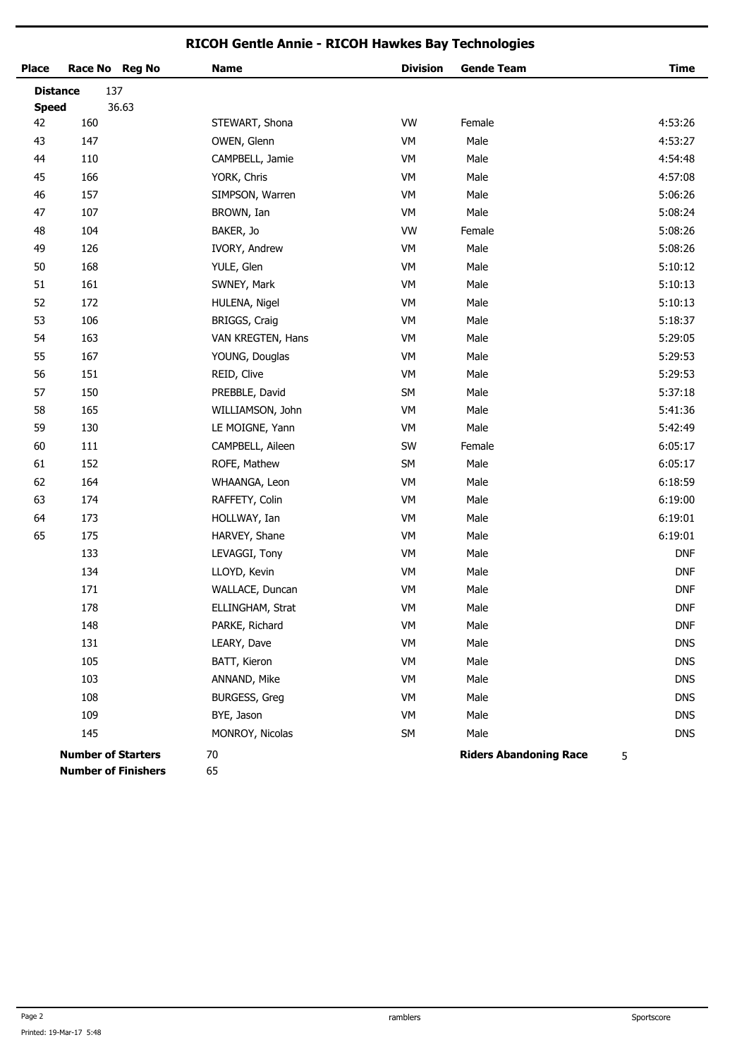## **RICOH Gentle Annie - RICOH Hawkes Bay Technologies**

| <b>Place</b>    | Race No Reg No                                          |       | <b>Name</b>          | <b>Division</b> | <b>Gende Team</b>             | <b>Time</b> |
|-----------------|---------------------------------------------------------|-------|----------------------|-----------------|-------------------------------|-------------|
| <b>Distance</b> | 137                                                     |       |                      |                 |                               |             |
| <b>Speed</b>    |                                                         | 36.63 |                      |                 |                               |             |
| 42              | 160                                                     |       | STEWART, Shona       | VW              | Female                        | 4:53:26     |
| 43              | 147                                                     |       | OWEN, Glenn          | VM              | Male                          | 4:53:27     |
| 44              | 110                                                     |       | CAMPBELL, Jamie      | VM              | Male                          | 4:54:48     |
| 45              | 166                                                     |       | YORK, Chris          | VM              | Male                          | 4:57:08     |
| 46              | 157                                                     |       | SIMPSON, Warren      | VM              | Male                          | 5:06:26     |
| 47              | 107                                                     |       | BROWN, Ian           | VM              | Male                          | 5:08:24     |
| 48              | 104                                                     |       | BAKER, Jo            | <b>VW</b>       | Female                        | 5:08:26     |
| 49              | 126                                                     |       | IVORY, Andrew        | VM              | Male                          | 5:08:26     |
| $50\,$          | 168                                                     |       | YULE, Glen           | VM              | Male                          | 5:10:12     |
| 51              | 161                                                     |       | SWNEY, Mark          | VM              | Male                          | 5:10:13     |
| 52              | 172                                                     |       | HULENA, Nigel        | VM              | Male                          | 5:10:13     |
| 53              | 106                                                     |       | BRIGGS, Craig        | VM              | Male                          | 5:18:37     |
| 54              | 163                                                     |       | VAN KREGTEN, Hans    | VM              | Male                          | 5:29:05     |
| 55              | 167                                                     |       | YOUNG, Douglas       | VM              | Male                          | 5:29:53     |
| 56              | 151                                                     |       | REID, Clive          | VM              | Male                          | 5:29:53     |
| 57              | 150                                                     |       | PREBBLE, David       | SM              | Male                          | 5:37:18     |
| 58              | 165                                                     |       | WILLIAMSON, John     | VM              | Male                          | 5:41:36     |
| 59              | 130                                                     |       | LE MOIGNE, Yann      | VM              | Male                          | 5:42:49     |
| 60              | 111                                                     |       | CAMPBELL, Aileen     | SW              | Female                        | 6:05:17     |
| 61              | 152                                                     |       | ROFE, Mathew         | SM              | Male                          | 6:05:17     |
| 62              | 164                                                     |       | WHAANGA, Leon        | VM              | Male                          | 6:18:59     |
| 63              | 174                                                     |       | RAFFETY, Colin       | VM              | Male                          | 6:19:00     |
| 64              | 173                                                     |       | HOLLWAY, Ian         | VM              | Male                          | 6:19:01     |
| 65              | 175                                                     |       | HARVEY, Shane        | VM              | Male                          | 6:19:01     |
|                 | 133                                                     |       | LEVAGGI, Tony        | VM              | Male                          | <b>DNF</b>  |
|                 | 134                                                     |       | LLOYD, Kevin         | VM              | Male                          | <b>DNF</b>  |
|                 | 171                                                     |       | WALLACE, Duncan      | VM              | Male                          | <b>DNF</b>  |
|                 | 178                                                     |       | ELLINGHAM, Strat     | VM              | Male                          | <b>DNF</b>  |
|                 | 148                                                     |       | PARKE, Richard       | VM              | Male                          | DNF         |
|                 | 131                                                     |       | LEARY, Dave          | VM              | Male                          | <b>DNS</b>  |
|                 | 105                                                     |       | BATT, Kieron         | VM              | Male                          | <b>DNS</b>  |
|                 | 103                                                     |       | ANNAND, Mike         | VM              | Male                          | <b>DNS</b>  |
|                 | 108                                                     |       | <b>BURGESS, Greg</b> | VM              | Male                          | <b>DNS</b>  |
|                 | 109                                                     |       | BYE, Jason           | VM              | Male                          | <b>DNS</b>  |
|                 | 145                                                     |       | MONROY, Nicolas      | SM              | Male                          | <b>DNS</b>  |
|                 | <b>Number of Starters</b><br><b>Number of Finishers</b> |       | 70<br>65             |                 | <b>Riders Abandoning Race</b> | 5           |